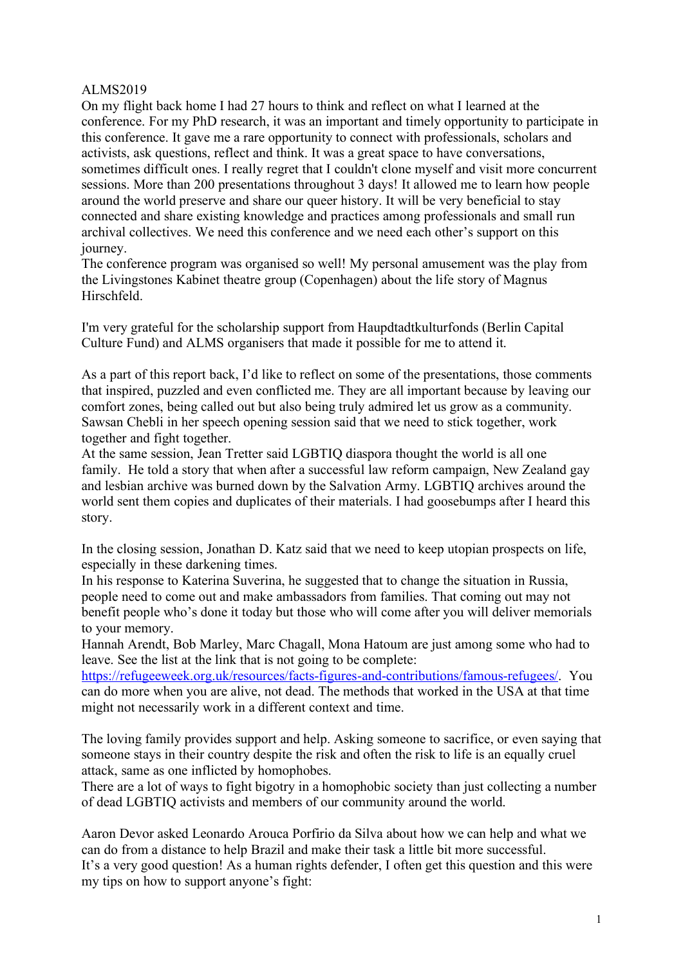## ALMS2019

On my flight back home I had 27 hours to think and reflect on what I learned at the conference. For my PhD research, it was an important and timely opportunity to participate in this conference. It gave me a rare opportunity to connect with professionals, scholars and activists, ask questions, reflect and think. It was a great space to have conversations, sometimes difficult ones. I really regret that I couldn't clone myself and visit more concurrent sessions. More than 200 presentations throughout 3 days! It allowed me to learn how people around the world preserve and share our queer history. It will be very beneficial to stay connected and share existing knowledge and practices among professionals and small run archival collectives. We need this conference and we need each other's support on this journey.

The conference program was organised so well! My personal amusement was the play from the Livingstones Kabinet theatre group (Copenhagen) about the life story of Magnus Hirschfeld.

I'm very grateful for the scholarship support from Haupdtadtkulturfonds (Berlin Capital Culture Fund) and ALMS organisers that made it possible for me to attend it.

As a part of this report back, I'd like to reflect on some of the presentations, those comments that inspired, puzzled and even conflicted me. They are all important because by leaving our comfort zones, being called out but also being truly admired let us grow as a community. Sawsan Chebli in her speech opening session said that we need to stick together, work together and fight together.

At the same session, Jean Tretter said LGBTIQ diaspora thought the world is all one family. He told a story that when after a successful law reform campaign, New Zealand gay and lesbian archive was burned down by the Salvation Army. LGBTIQ archives around the world sent them copies and duplicates of their materials. I had goosebumps after I heard this story.

In the closing session, Jonathan D. Katz said that we need to keep utopian prospects on life, especially in these darkening times.

In his response to Katerina Suverina, he suggested that to change the situation in Russia, people need to come out and make ambassadors from families. That coming out may not benefit people who's done it today but those who will come after you will deliver memorials to your memory.

Hannah Arendt, Bob Marley, Marc Chagall, Mona Hatoum are just among some who had to leave. See the list at the link that is not going to be complete:

https://refugeeweek.org.uk/resources/facts-figures-and-contributions/famous-refugees/. You can do more when you are alive, not dead. The methods that worked in the USA at that time might not necessarily work in a different context and time.

The loving family provides support and help. Asking someone to sacrifice, or even saying that someone stays in their country despite the risk and often the risk to life is an equally cruel attack, same as one inflicted by homophobes.

There are a lot of ways to fight bigotry in a homophobic society than just collecting a number of dead LGBTIQ activists and members of our community around the world.

Aaron Devor asked Leonardo Arouca Porfirio da Silva about how we can help and what we can do from a distance to help Brazil and make their task a little bit more successful. It's a very good question! As a human rights defender, I often get this question and this were my tips on how to support anyone's fight: